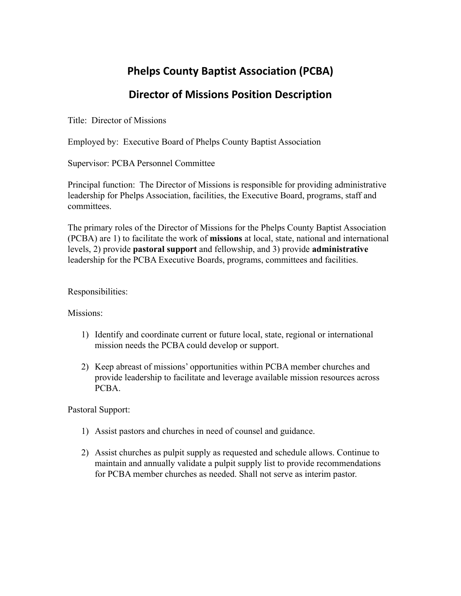## **Phelps County Baptist Association (PCBA)**

## **Director of Missions Position Description**

Title: Director of Missions

Employed by: Executive Board of Phelps County Baptist Association

Supervisor: PCBA Personnel Committee

Principal function: The Director of Missions is responsible for providing administrative leadership for Phelps Association, facilities, the Executive Board, programs, staff and committees.

The primary roles of the Director of Missions for the Phelps County Baptist Association (PCBA) are 1) to facilitate the work of **missions** at local, state, national and international levels, 2) provide **pastoral support** and fellowship, and 3) provide **administrative** leadership for the PCBA Executive Boards, programs, committees and facilities.

Responsibilities:

Missions:

- 1) Identify and coordinate current or future local, state, regional or international mission needs the PCBA could develop or support.
- 2) Keep abreast of missions' opportunities within PCBA member churches and provide leadership to facilitate and leverage available mission resources across PCBA.

Pastoral Support:

- 1) Assist pastors and churches in need of counsel and guidance.
- 2) Assist churches as pulpit supply as requested and schedule allows. Continue to maintain and annually validate a pulpit supply list to provide recommendations for PCBA member churches as needed. Shall not serve as interim pastor.